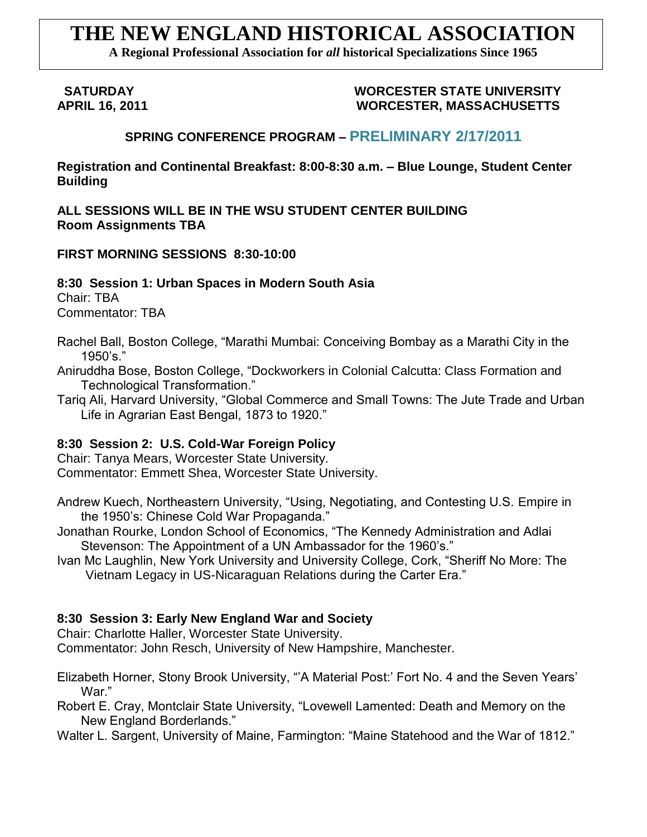# **THE NEW ENGLAND HISTORICAL ASSOCIATION**

**A Regional Professional Association for** *all* **historical Specializations Since 1965**

#### **SATURDAY WORCESTER STATE UNIVERSITY APRIL 16, 2011 WORCESTER, MASSACHUSETTS**

# **SPRING CONFERENCE PROGRAM – PRELIMINARY 2/17/2011**

**Registration and Continental Breakfast: 8:00-8:30 a.m. – Blue Lounge, Student Center Building**

**ALL SESSIONS WILL BE IN THE WSU STUDENT CENTER BUILDING Room Assignments TBA**

#### **FIRST MORNING SESSIONS 8:30-10:00**

**8:30 Session 1: Urban Spaces in Modern South Asia** Chair: TBA

Commentator: TBA

Rachel Ball, Boston College, "Marathi Mumbai: Conceiving Bombay as a Marathi City in the  $1950's."$ 

- Aniruddha Bose, Boston College, "Dockworkers in Colonial Calcutta: Class Formation and Technological Transformation."
- Tariq Ali, Harvard University, "Global Commerce and Small Towns: The Jute Trade and Urban Life in Agrarian East Bengal, 1873 to 1920."

# **8:30 Session 2: U.S. Cold-War Foreign Policy**

Chair: Tanya Mears, Worcester State University. Commentator: Emmett Shea, Worcester State University.

- Andrew Kuech, Northeastern University, "Using, Negotiating, and Contesting U.S. Empire in the 1950"s: Chinese Cold War Propaganda."
- Jonathan Rourke, London School of Economics, "The Kennedy Administration and Adlai Stevenson: The Appointment of a UN Ambassador for the 1960's."
- Ivan Mc Laughlin, New York University and University College, Cork, "Sheriff No More: The Vietnam Legacy in US-Nicaraguan Relations during the Carter Era."

# **8:30 Session 3: Early New England War and Society**

Chair: Charlotte Haller, Worcester State University.

Commentator: John Resch, University of New Hampshire, Manchester.

Elizabeth Horner, Stony Brook University, ""A Material Post:" Fort No. 4 and the Seven Years" War."

Robert E. Cray, Montclair State University, "Lovewell Lamented: Death and Memory on the New England Borderlands."

Walter L. Sargent, University of Maine, Farmington: "Maine Statehood and the War of 1812."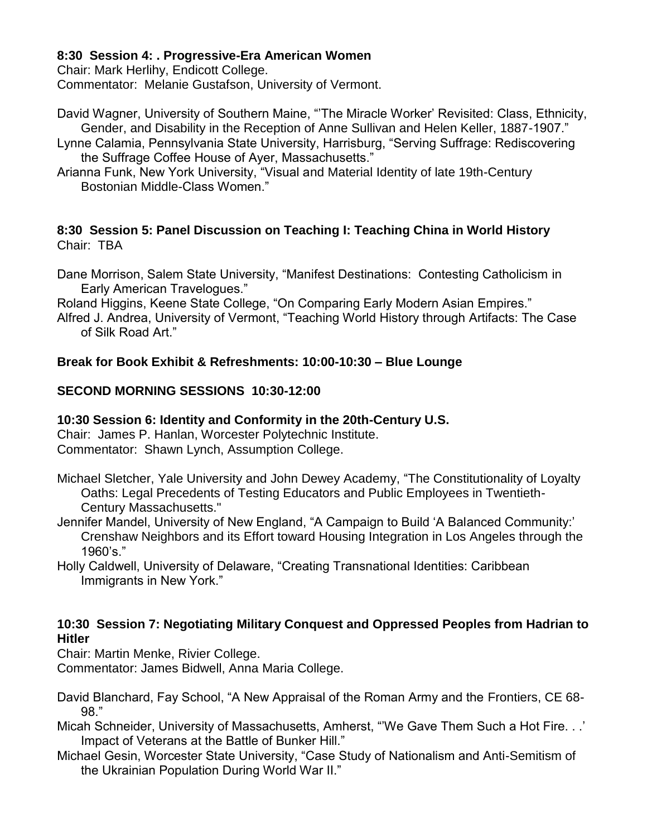### **8:30 Session 4: . Progressive-Era American Women**

Chair: Mark Herlihy, Endicott College.

Commentator: Melanie Gustafson, University of Vermont.

David Wagner, University of Southern Maine, ""The Miracle Worker" Revisited: Class, Ethnicity, Gender, and Disability in the Reception of Anne Sullivan and Helen Keller, 1887-1907."

- Lynne Calamia, Pennsylvania State University, Harrisburg, "Serving Suffrage: Rediscovering the Suffrage Coffee House of Ayer, Massachusetts."
- Arianna Funk, New York University, "Visual and Material Identity of late 19th-Century Bostonian Middle-Class Women."

#### **8:30 Session 5: Panel Discussion on Teaching I: Teaching China in World History** Chair: TBA

Dane Morrison, Salem State University, "Manifest Destinations: Contesting Catholicism in Early American Travelogues."

Roland Higgins, Keene State College, "On Comparing Early Modern Asian Empires."

Alfred J. Andrea, University of Vermont, "Teaching World History through Artifacts: The Case of Silk Road Art."

# **Break for Book Exhibit & Refreshments: 10:00-10:30 – Blue Lounge**

# **SECOND MORNING SESSIONS 10:30-12:00**

# **10:30 Session 6: Identity and Conformity in the 20th-Century U.S.**

Chair: James P. Hanlan, Worcester Polytechnic Institute. Commentator: Shawn Lynch, Assumption College.

- Michael Sletcher, Yale University and John Dewey Academy, "The Constitutionality of Loyalty Oaths: Legal Precedents of Testing Educators and Public Employees in Twentieth-Century Massachusetts."
- Jennifer Mandel, University of New England, "A Campaign to Build "A Balanced Community:" Crenshaw Neighbors and its Effort toward Housing Integration in Los Angeles through the 1960"s."
- Holly Caldwell, University of Delaware, "Creating Transnational Identities: Caribbean Immigrants in New York."

#### **10:30 Session 7: Negotiating Military Conquest and Oppressed Peoples from Hadrian to Hitler**

Chair: Martin Menke, Rivier College.

Commentator: James Bidwell, Anna Maria College.

- David Blanchard, Fay School, "A New Appraisal of the Roman Army and the Frontiers, CE 68- 98."
- Micah Schneider, University of Massachusetts, Amherst, "'We Gave Them Such a Hot Fire. . .' Impact of Veterans at the Battle of Bunker Hill."
- Michael Gesin, Worcester State University, "Case Study of Nationalism and Anti-Semitism of the Ukrainian Population During World War II."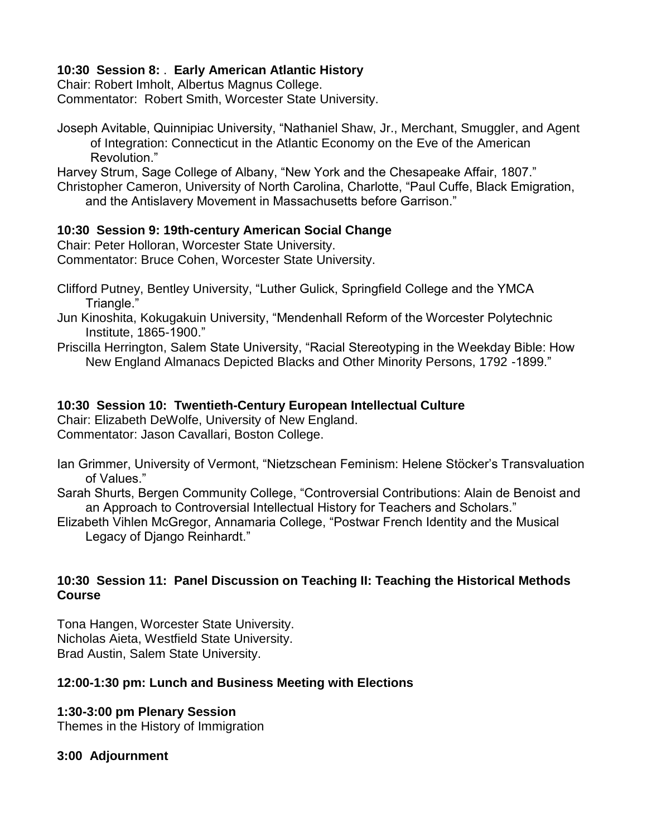### **10:30 Session 8:** . **Early American Atlantic History**

Chair: Robert Imholt, Albertus Magnus College. Commentator: Robert Smith, Worcester State University.

Joseph Avitable, Quinnipiac University, "Nathaniel Shaw, Jr., Merchant, Smuggler, and Agent of Integration: Connecticut in the Atlantic Economy on the Eve of the American Revolution."

Harvey Strum, Sage College of Albany, "New York and the Chesapeake Affair, 1807." Christopher Cameron, University of North Carolina, Charlotte, "Paul Cuffe, Black Emigration, and the Antislavery Movement in Massachusetts before Garrison."

#### **10:30 Session 9: 19th-century American Social Change**

Chair: Peter Holloran, Worcester State University. Commentator: Bruce Cohen, Worcester State University.

- Clifford Putney, Bentley University, "Luther Gulick, Springfield College and the YMCA Triangle."
- Jun Kinoshita, Kokugakuin University, "Mendenhall Reform of the Worcester Polytechnic Institute, 1865-1900."
- Priscilla Herrington, Salem State University, "Racial Stereotyping in the Weekday Bible: How New England Almanacs Depicted Blacks and Other Minority Persons, 1792 -1899."

#### **10:30 Session 10: Twentieth-Century European Intellectual Culture**

Chair: Elizabeth DeWolfe, University of New England. Commentator: Jason Cavallari, Boston College.

- Ian Grimmer, University of Vermont, "Nietzschean Feminism: Helene Stöcker"s Transvaluation of Values."
- Sarah Shurts, Bergen Community College, "Controversial Contributions: Alain de Benoist and an Approach to Controversial Intellectual History for Teachers and Scholars."
- Elizabeth Vihlen McGregor, Annamaria College, "Postwar French Identity and the Musical Legacy of Django Reinhardt."

#### **10:30 Session 11: Panel Discussion on Teaching II: Teaching the Historical Methods Course**

Tona Hangen, Worcester State University. Nicholas Aieta, Westfield State University. Brad Austin, Salem State University.

# **12:00-1:30 pm: Lunch and Business Meeting with Elections**

# **1:30-3:00 pm Plenary Session**

Themes in the History of Immigration

# **3:00 Adjournment**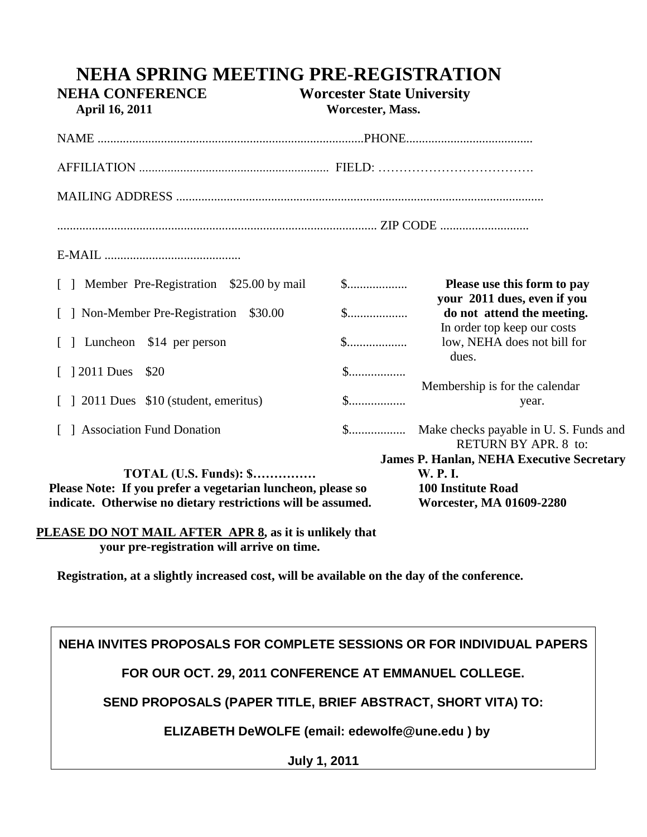| $\S$         | Please use this form to pay<br>your 2011 dues, even if you                                                                  |
|--------------|-----------------------------------------------------------------------------------------------------------------------------|
| $\mathbb{S}$ | do not attend the meeting.<br>In order top keep our costs                                                                   |
|              | low, NEHA does not bill for<br>dues.                                                                                        |
|              | Membership is for the calendar                                                                                              |
| $\mathbb{S}$ | year.                                                                                                                       |
|              | RETURN BY APR. 8 to:                                                                                                        |
|              | <b>James P. Hanlan, NEHA Executive Secretary</b><br><b>W.P.I.</b><br><b>100 Institute Road</b><br>Worcester, MA 01609-2280  |
|              | Please Note: If you prefer a vegetarian luncheon, please so<br>indicate. Otherwise no dietary restrictions will be assumed. |

**NEHA SPRING MEETING PRE-REGISTRATION** 

 **PLEASE DO NOT MAIL AFTER APR 8, as it is unlikely that your pre-registration will arrive on time.** 

**Registration, at a slightly increased cost, will be available on the day of the conference.**

**NEHA INVITES PROPOSALS FOR COMPLETE SESSIONS OR FOR INDIVIDUAL PAPERS**

**FOR OUR OCT. 29, 2011 CONFERENCE AT EMMANUEL COLLEGE.** 

**SEND PROPOSALS (PAPER TITLE, BRIEF ABSTRACT, SHORT VITA) TO:**

 **ELIZABETH DeWOLFE (email: edewolfe@une.edu ) by** 

**July 1, 2011**